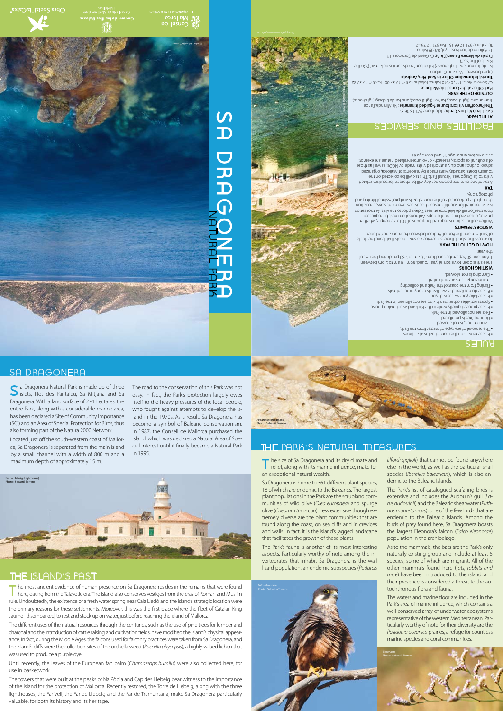**S**a Dragonera Natural Park is made up of three islets, Illot des Pantaleu, Sa Mitjana and Sa Dragonera. With a land surface of 274 hectares, the entire Park, along with a considerable marine area, has been declared a Site of Community Importance (SCI) and an Area of Special Protection for Birds, thus also forming part of the Natura 2000 Network. Located just off the south-western coast of Mallor-

The most ancient evidence of human presence on Sa Dragonera resides in the remains that were found<br>here, dating from the Talayotic era. The island also conserves vestiges from the eras of Roman and Muslim rule. Undoubtedly, the existence of a fresh water spring near Cala Lledó and the island's strategic location were the primary reasons for these settlements. Moreover, this was the first place where the fleet of Catalan King Jaume I disembarked, to rest and stock up on water, just before reaching the island of Mallorca.

found along the coast, on sea cliffs and in crevices and walls. In fact, it is the island's jagged landscape

### that facilitates the growth of these plants.

The Park's fauna is another of its most interesting aspects. Particularly worthy of note among the invertebrates that inhabit Sa Dragonera is the wall lizard population, an endemic subspecies (*Podarcis* 



The different uses of the natural resources through the centuries, such as the use of pine trees for lumber and charcoal and the introduction of cattle raising and cultivation fields, have modified the island's physical appearance. In fact, during the Middle Ages, the falcons used for falconry practices were taken from Sa Dragonera, and the island's cliffs were the collection sites of the orchella weed (*Roccella phycopsis*), a highly valued lichen that was used to produce a purple dye.

Until recently, the leaves of the European fan palm (*Chamaerops humilis*) were also collected here, for use in basketwork.

The towers that were built at the peaks of Na Pòpia and Cap des Llebeig bear witness to the importance of the island for the protection of Mallorca. Recently restored, the Torre de Llebeig, along with the three lighthouses, the Far Vell, the Far de Llebeig and the Far de Tramuntana, make Sa Dragonera particularly valuable, for both its history and its heritage.

Roads of the Sea") Espais de Natura Balear (CAIB): C/ Gremi de Corredors, 10

## THE ISLAND'S PAST

SA DRAGONERA



island, which was declared a Natural Area of Spe-

# RULES

# FACILITIES AND SERVICES

Cala Lledó - Photo: Sebastià Torrens







*lilfordi giglioli*) that cannot be found anywhere else in the world, as well as the particular snail species (*Iberellus balearicus*), which is also en-

demic to the Balearic Islands.

The Park's list of catalogued seafaring birds is extensive and includes the Audouin's gull (*Larus audouinii*) and the Balearic shearwater (*Puffinus mauretanicus*), one of the few birds that are endemic to the Balearic Islands. Among the birds of prey found here, Sa Dragonera boasts the largest Eleonora's falcon (*Falco eleonorae*)

### population in the archipelago.

As to the mammals, the bats are the Park's only naturally existing group and include at least 5 species, some of which are migrant. All of the other mammals found here (*rats, rabbits and mice*) have been introduced to the island, and their presence is considered a threat to the autochthonous flora and fauna.

The waters and marine floor are included in the Park's area of marine influence, which contains a well-conserved array of underwater ecosystems representative of the western Mediterranean. Particularly worthy of note for their diversity are the *Posidonia oceanica* prairies, a refuge for countless marine species and coral communities.

# **AT THE PARK**

Cala Lledó Visitors' Centre. Telephone 971 18 06 32. The Park offers visitors four self-guided itineraries: Na Miranda, Far de

Tramuntana (lighthouse), Far Vell (lighthouse), and Far de Llebeig (lighthouse). **OUTSIDE OF THE PARK** Park Office at the Consell de Mallorca:

C/ General Riera, 111, 07010 Palma. Telephone 971 17 37 00 - Fax 971 17 37 32 **Tourist Information Office in Sant Elm, Andratx** 

(open between May and October)

Far de Tramuntana (Lighthouse) Exhibition "En els camins de la mar" ("On the

1r. Polígon de Son Rossinyol, 07009 Palma.

Telephone 971 17 66 13 - Fax 971 17 76 47



Govern de les Illes Balear:

# SA DRAGONERA<br>CORPERA



 Please remain on the marked paths at all times. **•** The removal of any type of matter from the Park, **•** living or inert, is not allowed.

 Lighting fires is prohibited. **•** Pets are not allowed in the Park. **•**

Please proceed quietly while in the Park and avoid making noise. **•**

Sports activities other than hiking are not allowed in the Park. **•**

Please take your waste with you. **•**

Please do not feed the wall lizards or any other animals. **•**

Fishing from the coast of the Park and collecting **•**

marine organisms are prohibited.

### Camping is not allowed. **•**

**VISITING HOURS** The Park is open to visitors all year round, from 10 am to 5 pm between 1 April and 30 September, and from 10 am to 2:30 pm during the rest of

### the year.

**HOW TO GET TO THE PARK** To access the island, there is a service via small boats that leave the docks

### of Sant Elm and the Port of Andratx between February and October. **VISITORS' PERMITS**

Written authorisation is required for groups of 10 to 70 people, whether private, organized or school groups. Authorisation must be requested from the Consell de Mallorca at least 7 days prior to the visit. Authorisation is also required for scientific research activities, overnight stays, circulation through the park outside of the marked trails and professional filming and photography.

### **TAX**

A tax of one euro per person per day will be charged for tourism-related visits to Sa Dragonera Natural Park. This tax will be collected on the tourism boats. Saturday visits made by residents of Mallorca, organized school outings and duly and the best visits made by NGOs, as well as those of a cultural or sports-, research- or volunteer-related nature are exempt, as are visitors under age 14 and over age 65.